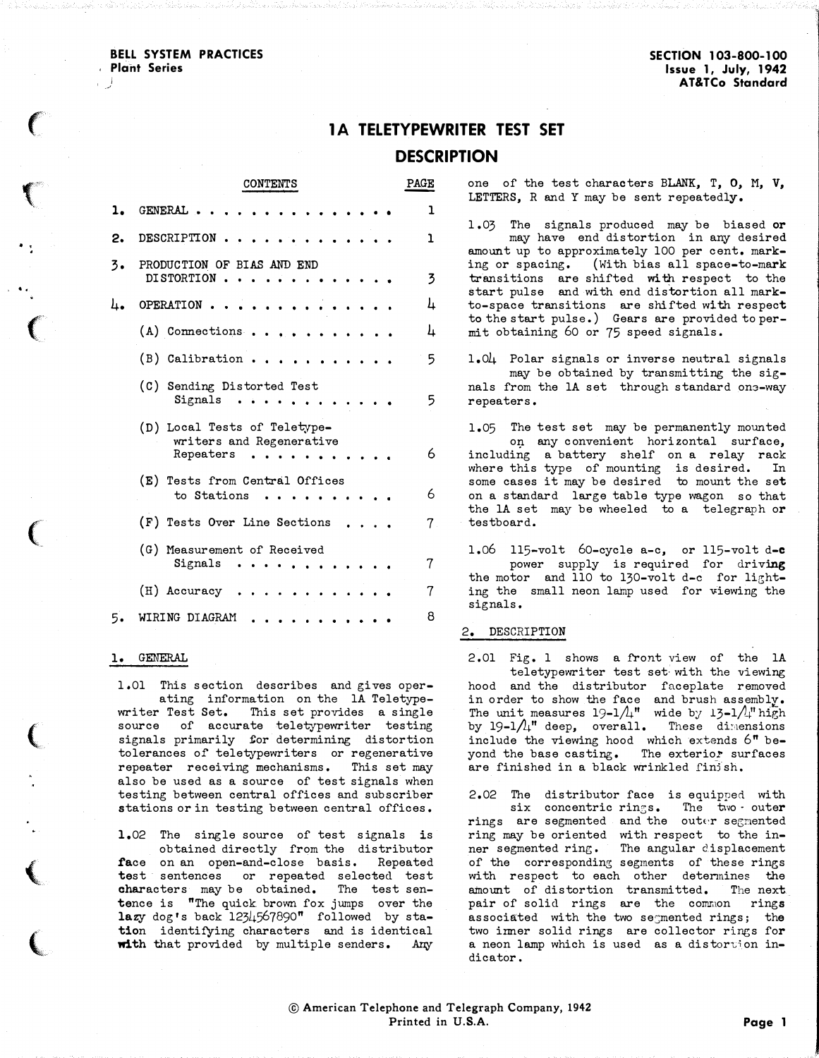#### BELL SYSTEM PRACTICES , Plant Series

j

 $\epsilon$ 

 $\left($ 

..

 $\big($ 

 $\big($ 

(

 $\big($ 

 $\big($ 

# 1A TELETYPEWRITER TEST SET **DESCRIPTION**

|    | <b>CONTENTS</b>                                                       | PAGE           |
|----|-----------------------------------------------------------------------|----------------|
| ı. | GENERAL                                                               | 1              |
| 2. | DESCRIPTION.                                                          | ı              |
| 3. | PRODUCTION OF BIAS AND END<br><b>DISTORTION</b>                       | 3              |
| 4. | OPERATION.                                                            | 4              |
|    | (A) Connections.                                                      | 4              |
|    | $(B)$ Calibration.                                                    | 5              |
|    | (C) Sending Distorted Test<br>Signals                                 | 5              |
|    | (D) Local Tests of Teletype-<br>writers and Regenerative<br>Repeaters | 6              |
|    | (E) Tests from Central Offices<br>to Stations                         | 6              |
|    | (F) Tests Over Line Sections                                          | $7\phantom{.}$ |
|    | (G) Measurement of Received<br>Signals                                | 7              |
|    | (H) Accuracy                                                          | 7              |
| 5. | RING DIAGRAM                                                          | 8              |
|    |                                                                       |                |

### 1. GENERAL

1.01 This section describes and gives operating information on the lA Teletypewriter Test Set. This set provides a single source of accurate teletypewriter testing signals primarily for determining distortion tolerances of teletypewriters or regenerative repeater receiving mechanisms. This set may also be used as a source of test signals when testing between central offices and subscriber stations or in testing between central offices.

1.02 The single source of test signals is obtained directly from the distributor face on an open-and-close basis. Repeated test sentences or repeated selected test<br>characters may be obtained. The test sencharacters may be obtained. tence is "The quick brown fox jumps over the lazy dog's back 1234567890" followed by station identi�ing characters and is identical with that provided by multiple senders. Any one of the test characters BLANK, T, 0, M, V, LETTERS, R and Y may be sent repeatedly.

1.03 The signals produced may be biased or may have end distortion in any desired amount up to approximately 100 per cent. marking or spacing. (With bias all space-to-mark transitions are shifted with respect to the start pulse and with end distortion all markto-space transitions are shifted with respect to the start pulse.) Gears are provided to permit obtaining 60 or 75 speed signals.

1.04 Polar signals or inverse neutral signals may be obtained by transmitting the signals from the lA set through standard on3-way repeaters.

1,05 The test set may be permanently mounted on any convenient horizontal surface. including a battery shelf on a relay rack where this type of mounting is desired. In some cases it may be desired to mount the set on a standard large table type wagon so that the lA set may be wheeled to a telegraph or testboard.

l.o6 115-volt 60-cycle a-c, or 115-volt d-e power supply is required for driving the motor and 110 to 130-volt d-e for lighting the small neon lamp used for viewing the signals.

#### 2. DESCRIPTION

2.01 Fig. 1 shows a front view of the lA teletypewriter test set· with the viewing hood and the distributor faceplate removed in order to show the face and brush assembly. The unit measures  $19-1/4$ " wide by  $13-1/4$ " high by  $19-1/l$ <sup>"</sup> deep, overall. These dimensions include the viewing hood which extends 6" beyond the base casting. The exterior surfaces are finished in a black wrinkled finish.

2.02 The distributor face is equipped with six concentric rings. The two- outer rings are segmented and the outer segmented ring may be oriented with respect to the inner segmented ring. The angular displacement of the corresponding segments of these rings with respect to each other detennines the amount of distortion transmitted. The next pair of solid rings are the common rings associated with the two segmented rings; the two inner solid rings are collector rings for a neon lamp which is used as a distortion indicator.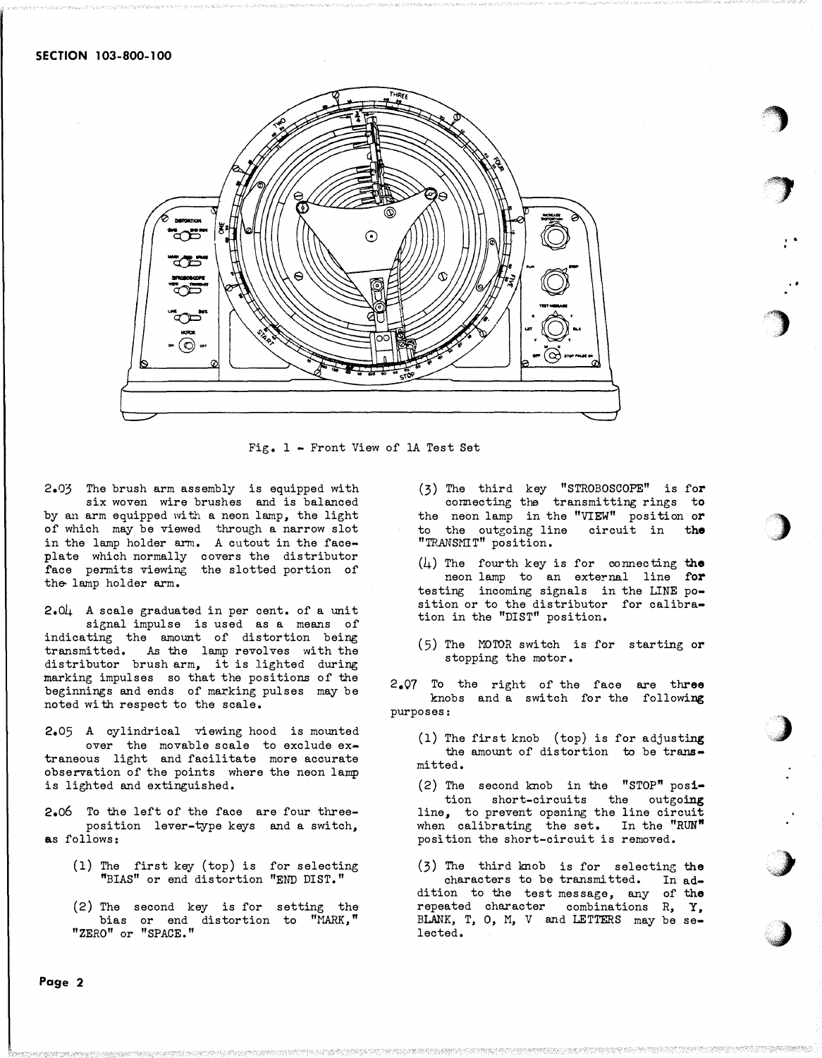

Fig. 1 - Front View of lA Test Set

2.03 The brush arm assembly is equipped with six woven wire brushes and is balanced by an arm equipped with a neon lamp, the light of which may be viewed through a narrow slot in the lamp holder arm. A cutout in the faceplate which normally covers the distributor face permits viewing the slotted portion of the lamp holder arm.

2.04 A scale graduated in per cent. of a unit signal impulse is used as a means of indicating the amount of distortion being transmitted. As the lamp revolves with the distributor brush arm, it is lighted during marking impulses so that the positions of the beginnings and ends of marking pulses may be noted with respect to the scale.

2.05 A cylindrical viewing hood is mounted over the movable scale to exclude extraneous light and facilitate more accurate observation of the points where the neon lamp is lighted and extinguished.

2.06 To the left of the face are four threeposition lever-type keys and a switch, as follows:

- (1) The first key ( top) is for selecting "BIAS" or end distortion 11END DIST."
- (2) The second key is for setting the bias or end distortion to "MARK," "ZERO" or "SPACE."

(3) The third key "STROBOSCOPE" is for connecting the transmitting rings to the neon lamp in the "VIEW" position or to the outgoing line circuit in the "TRANSMIT" position.

··�

'7

, . .

. .

**··** 

)

}

;)

···.· ' ·:J

- $(4)$  The fourth key is for connecting the neon lamp to an external line for testing incoming signals in the LINE position or to the distributor for calibration in the "DIST" position.
- (5) The MOTOR switch is for starting or stopping the motor.

2.Q7 To the right of the face are three knobs and a switch for the following purposes:

- (1) The first knob ( top) is for adjusting the amount of distortion to be transmitted.
- (2) The second knob in the "STOP" position short-circuits the outgoing line, to prevent opening the line circuit when calibrating the set. In the "RUN" position the short-circuit is removed.

(3) The third knob is for selecting the characters to be transmitted. In addition to the test message, any of the repeated character combinations R, Y, BLANK, T, 0, M, V and LETTERS may be selected.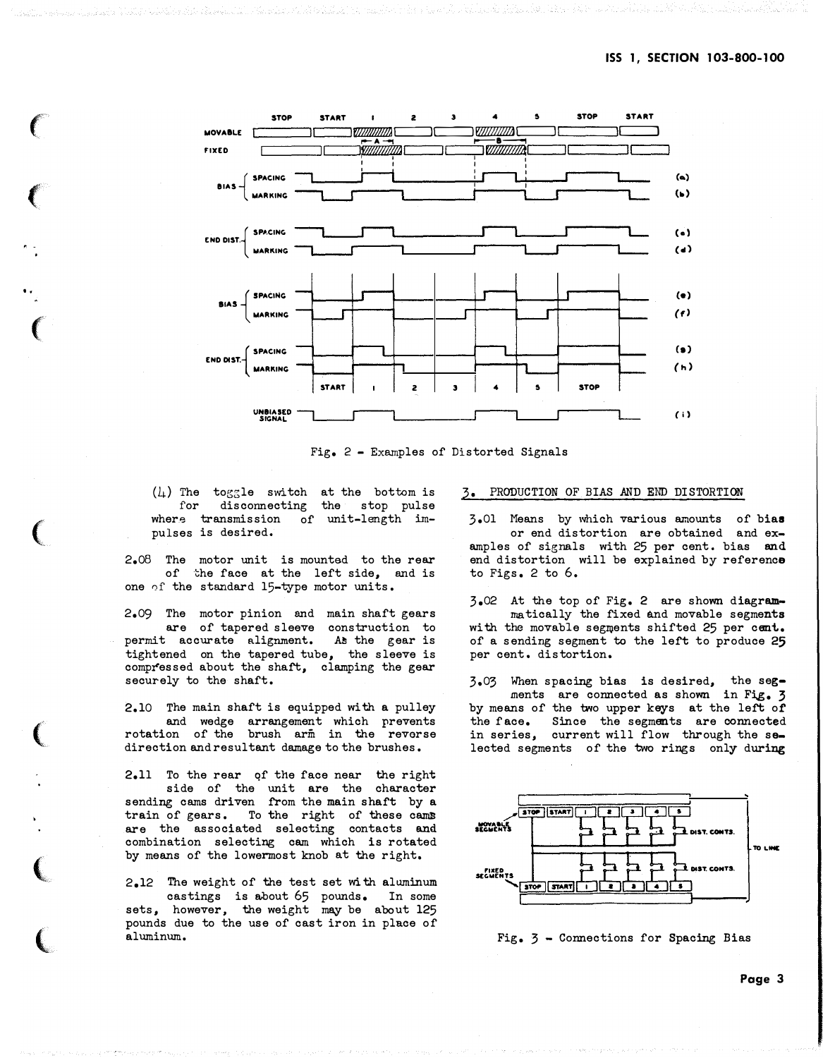



 $(L)$  The toggle switch at the bottom is for disconnecting wher'9 transmission of unit-length impulses is desired. stop pulse

 $\epsilon$ 

 $\left($ 

..

 $\mathbf{C}$ 

 $\mathcal{L}$ 

 $\mathcal{L}$ 

 $\mathbf{C}$ 

 $\ell$ 

2.08 The motor unit is mounted to the rear of the face at the left side, and is one 0f the standard 15-type motor units.

2.09 The motor pinion and main shaft gears are of tapered sleeve construction to permit accurate alignment. A� the gear is tightened on the tapered tube, the sleeve is comp�essed about the shaft, clamping the gear securely to the shaft.

2.10 The main shaft is equipped with a pulley and wedge arrangement which prevents rotation of the brush arm in the reverse direction and resultant damage to the brushes.

2.11 To the rear qf the face near the right side of the unit are the character sending cams driven from the main shaft by a train of gears. To the right of these cams are the associated selecting contacts and combination selecting cam which is rotated by means of the lowermost knob at the right.

2.12 The weight of the test set with aluminum castings is �bout 65 pounds. In some sets, however, the weight may be about 125 pounds due to the use of cast iron in place of aluminum.

# 3• PRODUCTION OF BIAS AND END DISTORTION

3 .01 Means by which various amounts of bias or end distortion are obtained and examples of signals with 25 per cent. bias and end distortion will be explained by reference to Figs. 2 to 6.

3.02 At the top of Fig. 2 are shown d iagrammatically the fixed and movable segments with the movable segments shifted 25 per cent. of a sending segment to the left to produce 25 per cent. distortion.

3·03 When spacing bias is desired, the segments are connected as shown in Fig. 3 by means of the two upper keys at the left of the f ace. Since the segments are connected in series, current will flow through the selected segments of the two rings only during



Fig.  $3$  - Connections for Spacing Bias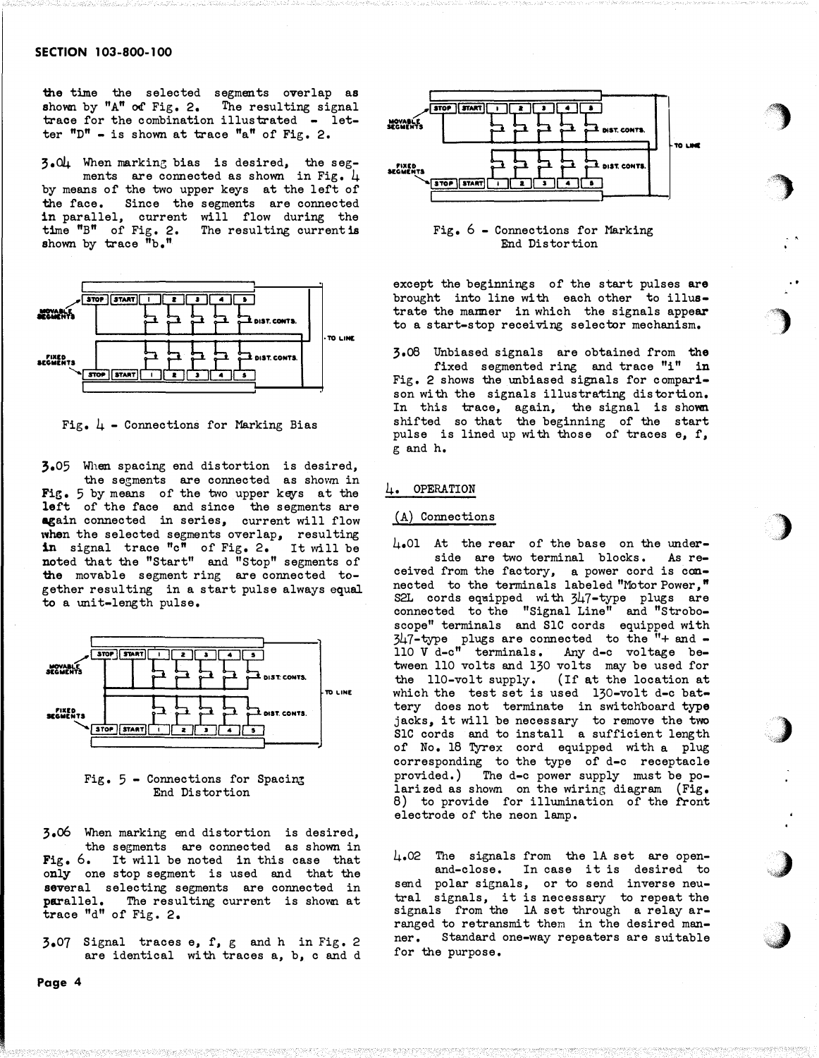## SECTION 103-800-100

the time the selected segments overlap as<br>shown by "A" of Fig. 2. The resulting signal The resulting signal trace for the combination illustrated - letter  $"D" - is shown at trace "a" of Fig. 2.$ 

3•04 When markinG bias is desired, the segments are connected as shown in Fig. 4 by means of the two upper keys at the left of the face. Since the segments are connected in parallel, current will flow during the time "B" of Fig. 2. The resulting current is shown by trace  $\bar{n}_{b}$ .



Fig.  $\mu$  - Connections for Marking Bias

3•05 When spacing end distortion is desired, the segments are connected as shown in Fig. 5 by means of the two upper keys at the left of the face and since the segments are again connected in series, current will flow when the selected segments overlap, resulting  $\verb|in|$  signal trace "c" of Fig. 2. It will be noted that the "Start" and "Stop" segments of the movable segment ring are connected together resulting in a start pulse always equal to a unit-length pulse.



# Fig. 5 - Connections for Spacing End Distortion

3.o6 When marking end distortion is desired, the segments are connected as shown in Fig. 6. It will be noted in this case that only one stop segment is used and that the several selecting segments are connected in parallel. The resulting current is shown at trace "d" of Fig. 2.

3.07 Signal traces e, f, g and h in Fig. 2 are identical with traces a, b, c and d



.,

�)

..

�.)

)

) ,

•o�f)

 $\blacksquare$ **1999** 



except the beginnings of the start pulses are brought into line with each other to illustrate the marmer in which the signals appear to a start-stop receiving selector mechanism.

3•08 Unbiased signals are obtained from the fixed segmented ring and trace "i" in Fig. 2 shows the unbiased signals for comparison with the signals illustrating distortion. In this trace, again, the signal is shown shifted so that the beginning of the start pulse is lined up with those of traces e, f, g and h.

## 4. OPERATION

## (A) Connections

 $\mu_{\bullet}$ 01 At the rear of the base on the underside are two terminal blocks. As received from the factory, a power cord is connected to the terminals labeled "Motor Power,"  $SL$  cords equipped with  $347$ -type plugs are connected to the "Signal Line" and "Stroboscope" terminals and SlC cords equipped with  $347$ -type plugs are connected to the  $1+$  and -110 V d-e" terminals. Any d-e voltage between 110 volts and 130 volts may be used for the 110-volt supply. (If at the location at which the test set is used 130-volt d-c battery does not terminate in switchboard type jacks, it will be necessary to remove the two SlC cords and to install a sufficient length of No. 18 Tyrex cord equipped with a plug corresponding to the type of d-e receptacle provided.) The d-e power supply must be polarized as shown on the wiring diagram (Fig. 8) to provide for illumination of the front electrode of the neon lamp.

 $\mu_{\bullet}$ 02 The signals from the 1A set are openand-close. In case it is desired to send polar signals, or to send inverse neutral signals, it is necessary to repeat the signals from the lA set through a relay arranged to retransmit them in the desired manner. Standard one-way repeaters are suitable for the purpose.

Page 4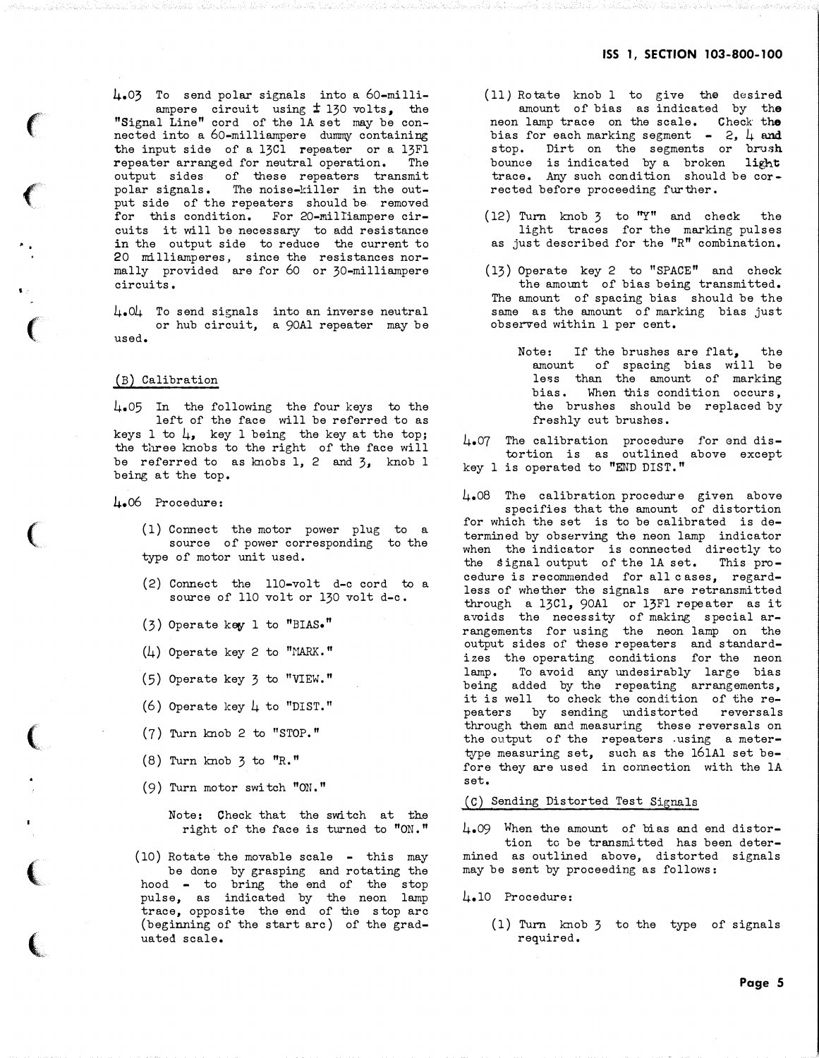4.03 To send polar signals into a 60-milliampere circuit using ± 130 volts, the "Signal Line" cord of the lA set may be connected into a 60-milliampere dummy containing the input side of a 13Cl repeater or a 13Fl repeater arranged for neutral operation. The output sides of these repeaters transmit polar signals. The noise-killer in the output side of the repeaters should be removed for this condition. For 20-milliampere circuits it will be necessary to add resistance in the output side to reduce the current to 20 milliamperes, since the resistances normally provided are for 60 or 30-milliampere circuits.

4.04 To send signals into an inverse neutral or hub circuit, a 90Al repeater may be used.

## (B) Calibration

 $\big($ 

..

 $\big($ 

 $\big($ 

 $\big($ 

(

 $\big($ 

4.05 In the following the four keys to the left of the face will be referred to as keys 1 to  $\downarrow$ , key 1 being the key at the top; the three knobs to the right of the face will be referred to as knobs 1, 2 and 3, knob 1 being at the top.

4.o6 Procedure:

- (1) Connect the motor power plug to a source of power corresponding to the type of motor unit used.
- (2) Connect the IIO-volt d-c cord to a source of 110 volt or 130 volt d-e.
- (3) Operate kev 1 to "BIAS."
- $(4)$  Operate key 2 to "MARK."
- (5) Operate key 3 to "VIEW."
- (6) Operate key  $\downarrow$  to "DIST."
- $(7)$  Turn knob 2 to "STOP."
- $(8)$  Turn knob  $5$  to "R."
- (9) Turn motor switch "ON."

Note: Check that the switch at the right of the face is turned to "ON."

(10) Rotate the movable scale - this may be done by grasping and rotating the hood - to bring the end of the stop pulse, as indicated by the neon lamp trace, opposite the end of the s top arc (beginning of the start arc) of the graduated scale.

- (11) Rotate knob 1 to give the desired amount of bias as indicated by the neon lamp trace on the scale. Check the bias for each marking segment - 2,  $\mu$  and stop. Dirt on the segments or brush bounce is indicated by a broken light trace. Any such condition should be corrected before proceeding further.
- ( 12) Turn knob 3 to "Y" and check the light traces for the marking pulses as just described for the "R" combination.
- (13) Operate key 2 to "SPACE" and check the amount of bias being transmitted. The amount of spacing bias should be the same as the amount of marking bias just observed within 1 per cent.
	- Note: If the brushes are flat, the amount of spacing bias will be le8s than the amount of marking bias. When this condition occurs, the brushes should be replaced by freshly cut brushes.

 $\text{4.07}$  The calibration procedure for end distortion is as outlined above except key 1 is operated to "END DIST."

4.08 The calibration procedure given above specifies that the amount of distortion for which the set is to be calibrated is determined by observing the neon lamp indicator when the indicator is connected directly to the signal output of the IA set. This procedure is recommended for all c ases, regardless of whether the signals are retransmitted through a 13Cl, 90Al or 13Fl repeater as it avoids the necessity of making special arrangements for using the neon lamp on the output sides of these repeaters and standardizes the operating conditions for the neon lamp. To avoid any undesirably large bias being added by the repeating arrangements, it is well to check the condition of the repeaters by sending undistorted reversals through them and measuring these reversals on the output of the repeaters .using a metertype measuring set, such as the 161Al set before they are used in connection with the lA set.

# (C) Sending Distorted Test Signals

 $\text{L}_4$ 09 When the amount of bias and end distortion to be transmitted has been determined as outlined above, distorted signals may be sent by proceeding as follows:

#### 4.10 Procedure:

(1) Turn knob 3 to the type of signals required.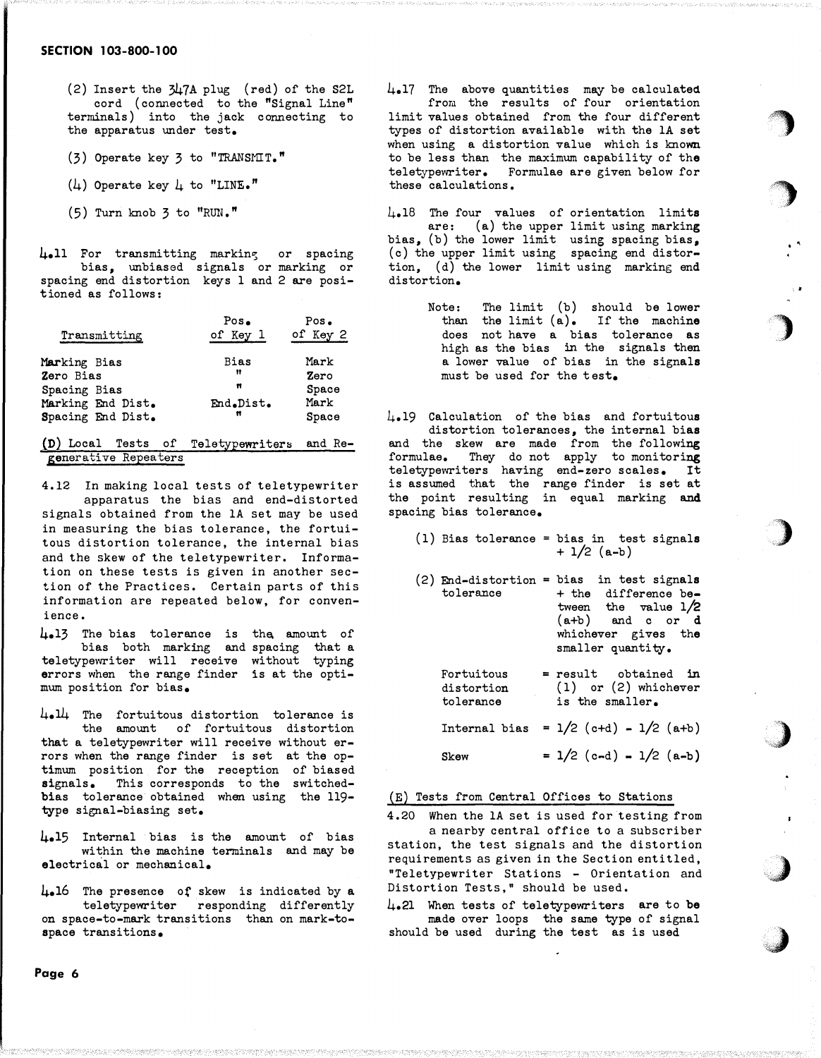# SECTION 103-800-100

- (2) Insert the 347A plug (red) of the S2L cord (connected to the "Signal Line" terminals) into the jack connecting to the apparatus under test.
- (3) Operate key 3 to "TRANSMIT."
- $(4)$  Operate key  $\perp$  to "LINE."
- (5) Turn knob 3 to "RUN."

4.11 For transmitting marking or spacing bias, unbiased signals or marking or spacing end distortion keys 1 and 2 are positioned as follows:

| Transmitting      | Pos <sub>•</sub><br>of Key 1 | Pos.<br>of Key 2 |
|-------------------|------------------------------|------------------|
| Marking Bias      | Bias                         | Mark             |
| Zero Bias         | 11                           | Zero             |
| Spacing Bias      | Ħ                            | Space            |
| Marking End Dist. | End.Dist.                    | Mark             |
| Spacing End Dist. | n                            | Space            |

## (D) Local Tests of Teletypewriter� and Regenerative Repeaters

4.12 In making local tests of teletypewriter apparatus the bias and end-distorted signals obtained from the lA set may be used in measuring the bias tolerance, the fortuitous distortion tolerance, the internal bias and the skew of the teletypewriter. Information on these tests is given in another section of the Practices. Certain parts of this information are repeated below, for convenience.

4.13 The bias tolerance is the amount of bias both marking and spacing that a teletypewriter will receive without typing errors when the range finder is at the optimum position for bias.

4.14 The fortuitous distortion tolerance is the amount of fortuitous distortion that a teletypewriter will receive without errors when the range finder is set at the optimum position for the reception of biased<br>signals. This corresponds to the switched-This corresponds to the switchedbias tolerance obtained when using the 119 type signal-biasing set.

4.15 Internal bias is the amount of bias within the machine terminals and may be electrical or mechanical.

4.16 The presence of skew is indicated by a teletypewriter responding differently on space-to-mark transitions than on mark-tospace transitions.

 $\text{4-17}$  The above quantities may be calculated from the results of four orientation limit values obtained from the four different types of distortion available with the lA set when using a distortion value which is known to be less than the maximum capability of the teletypewriter. Formulae are given below for these calculations.

 $\bigcirc$ 

'')

 $\cdot$   $\cdot$ 

)

)

 $,$ 

 $\overline{\phantom{a}}$ 

�;)

 $\text{L}_4$ 18 The four values of orientation limits are: (a) the upper limit using marking bias, (b) the lower limit using spacing bias, (c) the upper limit using spacing end distortion, (d) the lower limit using marking end distortion.

> Note: than the limit (a). If the machine The limit (b) should be lower does not have a bias tolerance as high as the bias in the signals then a lower value of bias in the signals must be used for the test.

4.19 Calculation of the bias and fortuitous distortion tolerances, the internal bias and the skew are made from the following formulae. They do not apply to monitoring teletypewriters having end-zero scales. It is assumed that the range finder is set at the point resulting in equal marking and spacing bias tolerance.

- (1) Bias tolerance = bias in test signals  $+ 1/2 (a-b)$
- (2) End-distortion <sup>=</sup> bias in test signals tolerance + the difference between the value 1/2 (a+b) and c or d whichever gives the smaller quantity.
	- Fortuitous  $=$  result obtained in distortion (1) or (2) whichever tolerance is the smaller.

Internal bias =  $1/2$  (c+d) -  $1/2$  (a+b)

Skew =  $1/2$  (c-d) =  $1/2$  (a-b)

# (E) Tests from Central Offices to Stations

4.20 When the lA set is used for testing from a nearby central office to a subscriber station, the test signals and the distortion requirements as given in the Section entitled, "Teletypewriter Stations - Orientation and Distortion Tests," should be used.

 $\text{4.21}$  When tests of teletypewriters are to be made over loops the same type of signal should be used during the test as is used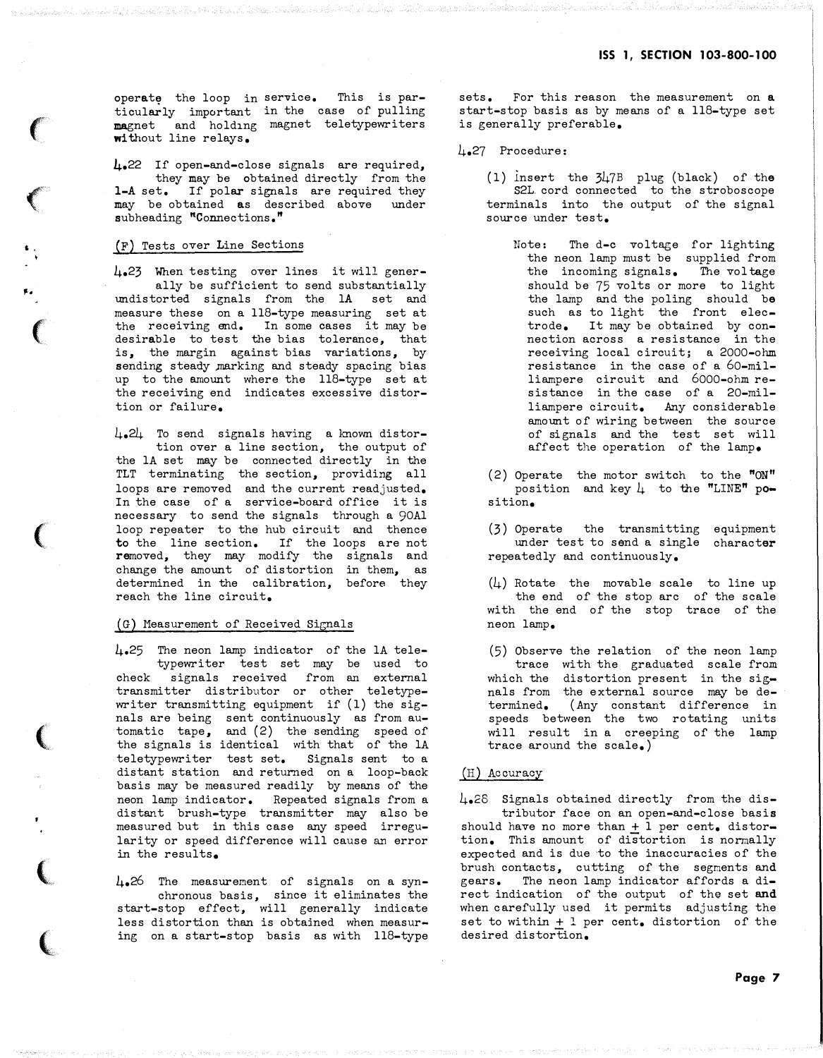operate the loop in service. This is partioularly important in the case of pulling magnet and hold1ng magnet teletypewriters without line relays.

4.22 If open-and-close signals are required, they may be obtained directly from the 1-A set. If polar signals are required they may be obtained as described above under subheading "Connections."

## (F) Tests over Line Sections

 $\epsilon$ 

 $\mathbf{t}$  .

,.

 $\big($ 

 $\big($ 

(

 $\overline{\mathbb{C}}$ 

 $\bigl($ 

4.23 When testing over lines it will generally be sufficient to send substantially undistorted signals from the lA set and measure these on a 118-type measuring set at the receiving end. In some oases it may be desirable to test the bias tolerance, that is, the margin against bias variations, by sending steady marking and steady spacing bias up to the amount where the 118-type set at the receiving end indicates excessive distortion or failure.

 $\frac{1}{4}$ . To send signals having a known distortion over a line section, the output of the lA set may be connected directly in the TLT terminating the section, providing all loops are removed and the current readjusted. In the case of a service-board office it is necessary to send the signals through a 90Al loop repeater to the hub circuit and thence to the line section. If the loops are not removed, they may modify the signals and change the amount of distortion in them, as determined in the calibration, before they reach the line circuit.

## (G) Measurement of Received Signals

4.25 The neon lamp indicator of the lA teletypewriter test set may be used to check signals received from an external transmitter distributor or other teletypewriter transmitting equipment if (1) the signals are being sent continuously as from automatic tape, and (2) the sending speed of the signals is identical with that of the lA teletypewriter test set. Signals sent to a distant station and returned on a loop-back basis may be measured readily by means of the neon lamp indicator. Repeated signals from a distant brush-type transmitter may also be measured but in this case any speed irregularity or speed difference will cause an error in the results.

4.26 The measurement of signals on a synchronous basis, since it eliminates the start-stop effect, will generally indicate less distortion than is obtained when measuring on a start-stop basis as with 118-type sets. For this reason the measurement on a start-stop basis as by means of a 118-type set is generally preferable.

#### 4.27 Procedure:

- (l) insert the 347B plug (black) of the S2L. cord connected to the stroboscope terminals into the output of the signal source under test.
	- Note: The d-o voltage for lighting the neon lamp must be supplied from the incoming signals. The voltage should be 75 volts or more to light the lamp and the poling should be such as to light the front electrode. It may be obtained by connection across a resistance in the receiving local circuit; a 2000-ohm resistance in the case of a 60-milliampere circuit and 6000-ohm resistance in the case of a 20-milliampere circuit. Any considerable amount of wiring between the source of si gnals and the test set will affect the operation of the lamp.
- (2) Operate the motor switch to the "ON" position and key 4 to the "LINE" po sition.
- (3) Operate the transmitting under test to send a single repeatedly and continuously. equipment character
- $(1)$  Rotate the movable scale to line up the end of the stop arc of the scale with the end of the stop trace of the neon lamp.
- (5) Observe the relation of the neon lamp trace with the graduated scale from which the distortion present in the signals from the external source may be determined. (Any constant difference in speeds between the two rotating units will result in a creeping of the lamp trace around the scale.)

### (H) Accuracy

4.28 Signals obtained directly from the distributor face on an open-and-close basis should have no more than + 1 per cent. distortion. This amount of distortion is normally expected and is due to the inaccuracies of the brush contacts, cutting of the segments and gears. The neon lamp indicator affords a direct indication of the output of the set and when carefully used it permits adjusting the set to within  $+1$  per cent. distortion of the desired distortion.